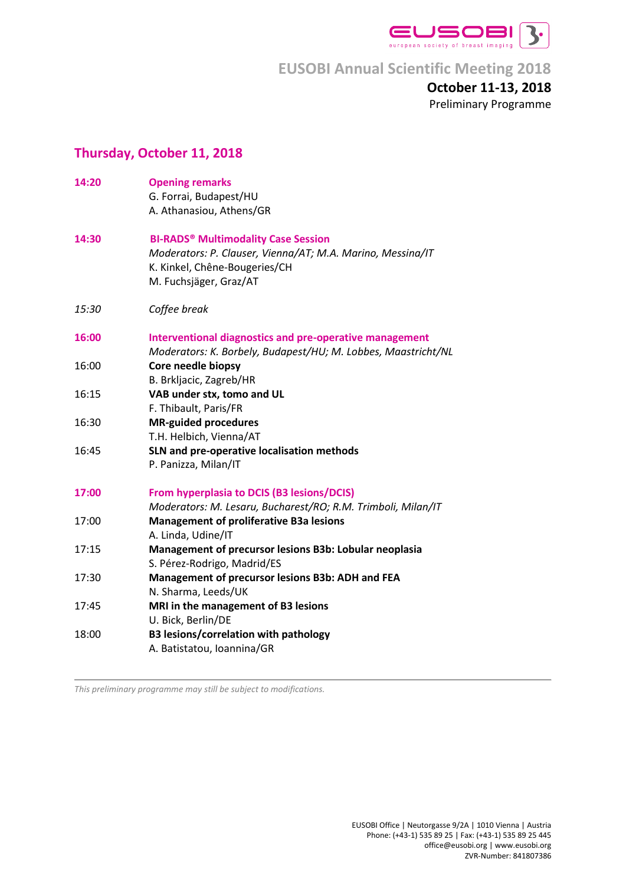

## **October 11-13, 2018** Preliminary Programme

## **Thursday, October 11, 2018**

| 14:20 | <b>Opening remarks</b><br>G. Forrai, Budapest/HU<br>A. Athanasiou, Athens/GR                                                                                                   |
|-------|--------------------------------------------------------------------------------------------------------------------------------------------------------------------------------|
| 14:30 | <b>BI-RADS<sup>®</sup> Multimodality Case Session</b><br>Moderators: P. Clauser, Vienna/AT; M.A. Marino, Messina/IT<br>K. Kinkel, Chêne-Bougeries/CH<br>M. Fuchsjäger, Graz/AT |
| 15:30 | Coffee break                                                                                                                                                                   |
| 16:00 | <b>Interventional diagnostics and pre-operative management</b><br>Moderators: K. Borbely, Budapest/HU; M. Lobbes, Maastricht/NL                                                |
| 16:00 | Core needle biopsy<br>B. Brkljacic, Zagreb/HR                                                                                                                                  |
| 16:15 | VAB under stx, tomo and UL<br>F. Thibault, Paris/FR                                                                                                                            |
| 16:30 | <b>MR-guided procedures</b><br>T.H. Helbich, Vienna/AT                                                                                                                         |
| 16:45 | SLN and pre-operative localisation methods<br>P. Panizza, Milan/IT                                                                                                             |
| 17:00 | From hyperplasia to DCIS (B3 lesions/DCIS)<br>Moderators: M. Lesaru, Bucharest/RO; R.M. Trimboli, Milan/IT                                                                     |
| 17:00 | <b>Management of proliferative B3a lesions</b><br>A. Linda, Udine/IT                                                                                                           |
| 17:15 | Management of precursor lesions B3b: Lobular neoplasia<br>S. Pérez-Rodrigo, Madrid/ES                                                                                          |
| 17:30 | Management of precursor lesions B3b: ADH and FEA<br>N. Sharma, Leeds/UK                                                                                                        |
| 17:45 | MRI in the management of B3 lesions<br>U. Bick, Berlin/DE                                                                                                                      |
| 18:00 | <b>B3 lesions/correlation with pathology</b><br>A. Batistatou, Ioannina/GR                                                                                                     |

*This preliminary programme may still be subject to modifications.*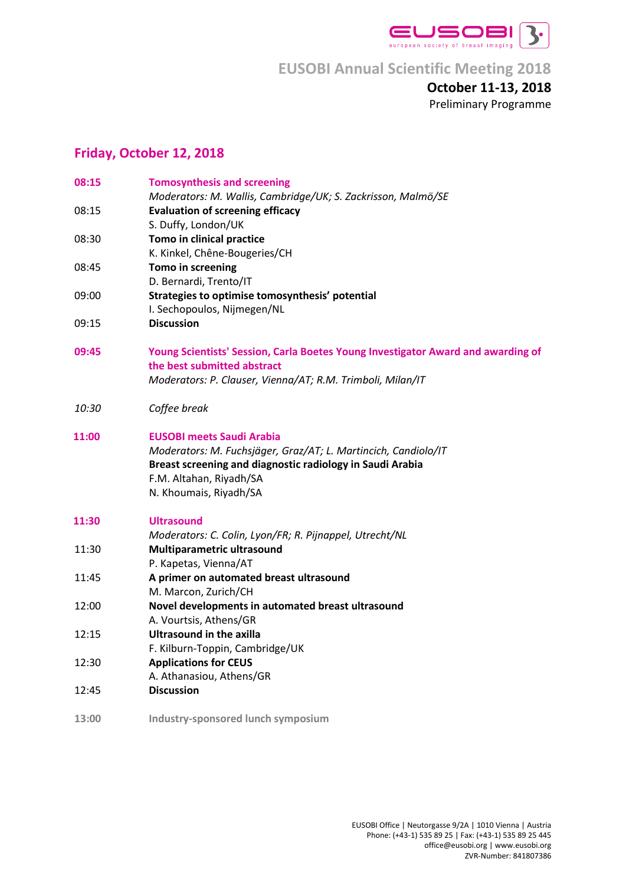

### **October 11-13, 2018** Preliminary Programme

## **Friday, October 12, 2018**

| 08:15 | <b>Tomosynthesis and screening</b>                                               |
|-------|----------------------------------------------------------------------------------|
|       | Moderators: M. Wallis, Cambridge/UK; S. Zackrisson, Malmö/SE                     |
| 08:15 | <b>Evaluation of screening efficacy</b><br>S. Duffy, London/UK                   |
|       |                                                                                  |
| 08:30 | Tomo in clinical practice                                                        |
|       | K. Kinkel, Chêne-Bougeries/CH                                                    |
| 08:45 | Tomo in screening                                                                |
|       | D. Bernardi, Trento/IT                                                           |
| 09:00 | Strategies to optimise tomosynthesis' potential                                  |
|       | I. Sechopoulos, Nijmegen/NL                                                      |
| 09:15 | <b>Discussion</b>                                                                |
| 09:45 | Young Scientists' Session, Carla Boetes Young Investigator Award and awarding of |
|       | the best submitted abstract                                                      |
|       | Moderators: P. Clauser, Vienna/AT; R.M. Trimboli, Milan/IT                       |
| 10:30 | Coffee break                                                                     |
| 11:00 | <b>EUSOBI meets Saudi Arabia</b>                                                 |
|       | Moderators: M. Fuchsjäger, Graz/AT; L. Martincich, Candiolo/IT                   |
|       | Breast screening and diagnostic radiology in Saudi Arabia                        |
|       | F.M. Altahan, Riyadh/SA                                                          |
|       | N. Khoumais, Riyadh/SA                                                           |
| 11:30 | <b>Ultrasound</b>                                                                |
|       | Moderators: C. Colin, Lyon/FR; R. Pijnappel, Utrecht/NL                          |
| 11:30 | Multiparametric ultrasound                                                       |
|       | P. Kapetas, Vienna/AT                                                            |
| 11:45 | A primer on automated breast ultrasound                                          |
|       | M. Marcon, Zurich/CH                                                             |
| 12:00 | Novel developments in automated breast ultrasound                                |
|       | A. Vourtsis, Athens/GR                                                           |
| 12:15 | <b>Ultrasound in the axilla</b>                                                  |
|       | F. Kilburn-Toppin, Cambridge/UK                                                  |
| 12:30 | <b>Applications for CEUS</b>                                                     |
|       | A. Athanasiou, Athens/GR                                                         |
| 12:45 | <b>Discussion</b>                                                                |
| 13:00 | Industry-sponsored lunch symposium                                               |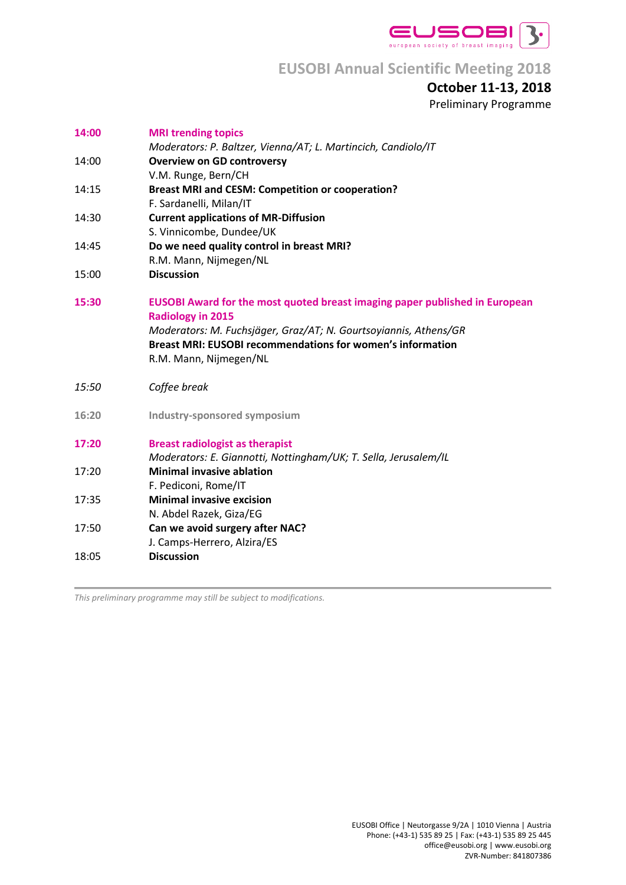

## **October 11-13, 2018**

Preliminary Programme

| 14:00 | <b>MRI trending topics</b>                                                         |
|-------|------------------------------------------------------------------------------------|
|       | Moderators: P. Baltzer, Vienna/AT; L. Martincich, Candiolo/IT                      |
| 14:00 | <b>Overview on GD controversy</b>                                                  |
|       | V.M. Runge, Bern/CH                                                                |
| 14:15 | <b>Breast MRI and CESM: Competition or cooperation?</b>                            |
|       | F. Sardanelli, Milan/IT                                                            |
| 14:30 | <b>Current applications of MR-Diffusion</b>                                        |
| 14:45 | S. Vinnicombe, Dundee/UK                                                           |
|       | Do we need quality control in breast MRI?<br>R.M. Mann, Nijmegen/NL                |
| 15:00 | <b>Discussion</b>                                                                  |
|       |                                                                                    |
| 15:30 | <b>EUSOBI Award for the most quoted breast imaging paper published in European</b> |
|       | <b>Radiology in 2015</b>                                                           |
|       | Moderators: M. Fuchsjäger, Graz/AT; N. Gourtsoyiannis, Athens/GR                   |
|       | <b>Breast MRI: EUSOBI recommendations for women's information</b>                  |
|       | R.M. Mann, Nijmegen/NL                                                             |
|       |                                                                                    |
| 15:50 | Coffee break                                                                       |
| 16:20 | Industry-sponsored symposium                                                       |
|       |                                                                                    |
| 17:20 | <b>Breast radiologist as therapist</b>                                             |
|       | Moderators: E. Giannotti, Nottingham/UK; T. Sella, Jerusalem/IL                    |
| 17:20 | <b>Minimal invasive ablation</b>                                                   |
|       | F. Pediconi, Rome/IT                                                               |
| 17:35 | <b>Minimal invasive excision</b>                                                   |
|       | N. Abdel Razek, Giza/EG                                                            |
| 17:50 | Can we avoid surgery after NAC?                                                    |
|       | J. Camps-Herrero, Alzira/ES                                                        |
| 18:05 | <b>Discussion</b>                                                                  |
|       |                                                                                    |

*This preliminary programme may still be subject to modifications.*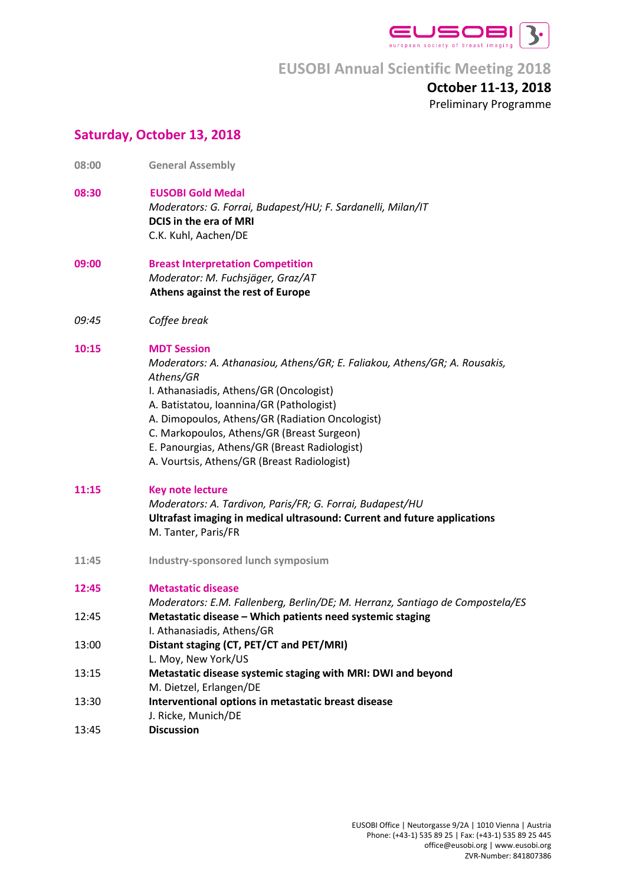

#### **October 11-13, 2018** Preliminary Programme

### **Saturday, October 13, 2018**

- **08:00 General Assembly**
- **08:30 EUSOBI Gold Medal**

*Moderators: G. Forrai, Budapest/HU; F. Sardanelli, Milan/IT* **DCIS in the era of MRI** C.K. Kuhl, Aachen/DE

- **09:00 Breast Interpretation Competition**  *Moderator: M. Fuchsjäger, Graz/AT* **Athens against the rest of Europe**
- *09:45 Coffee break*

#### **10:15 MDT Session**

*Moderators: A. Athanasiou, Athens/GR; E. Faliakou, Athens/GR; A. Rousakis, Athens/GR* I. Athanasiadis, Athens/GR (Oncologist) A. Batistatou, Ioannina/GR (Pathologist)

- A. Dimopoulos, Athens/GR (Radiation Oncologist)
- C. Markopoulos, Athens/GR (Breast Surgeon)
- E. Panourgias, Athens/GR (Breast Radiologist)
- A. Vourtsis, Athens/GR (Breast Radiologist)

#### **11:15 Key note lecture**

*Moderators: A. Tardivon, Paris/FR; G. Forrai, Budapest/HU* **Ultrafast imaging in medical ultrasound: Current and future applications** M. Tanter, Paris/FR

**11:45 Industry-sponsored lunch symposium**

| <b>Metastatic disease</b> |
|---------------------------|
|                           |

|       | Moderators: E.M. Fallenberg, Berlin/DE; M. Herranz, Santiago de Compostela/ES |
|-------|-------------------------------------------------------------------------------|
| 12:45 | Metastatic disease – Which patients need systemic staging                     |
|       | I. Athanasiadis, Athens/GR                                                    |

- 13:00 **Distant staging (CT, PET/CT and PET/MRI)**
- L. Moy, New York/US
- 13:15 **Metastatic disease systemic staging with MRI: DWI and beyond** M. Dietzel, Erlangen/DE
- 13:30 **Interventional options in metastatic breast disease**
- J. Ricke, Munich/DE
- 13:45 **Discussion**